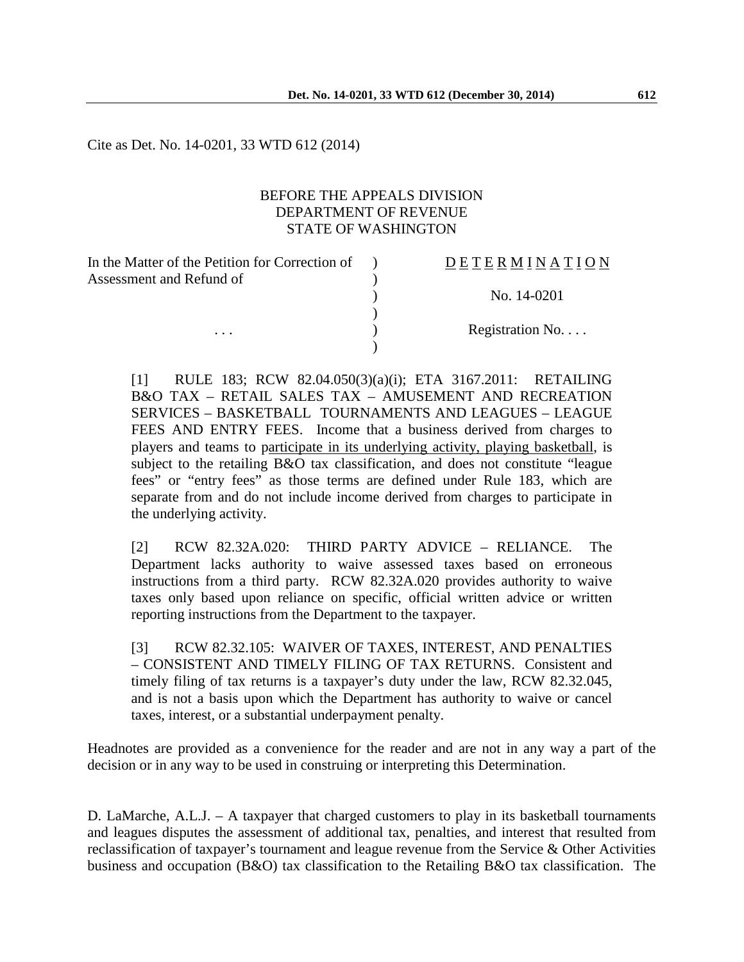Cite as Det. No. 14-0201, 33 WTD 612 (2014)

#### BEFORE THE APPEALS DIVISION DEPARTMENT OF REVENUE STATE OF WASHINGTON

| In the Matter of the Petition for Correction of | <b>DETERMINATION</b>      |
|-------------------------------------------------|---------------------------|
| Assessment and Refund of                        |                           |
|                                                 | No. 14-0201               |
|                                                 |                           |
| $\cdots$                                        | Registration $No. \ldots$ |
|                                                 |                           |

[1] RULE 183; RCW 82.04.050(3)(a)(i); ETA 3167.2011: RETAILING B&O TAX – RETAIL SALES TAX – AMUSEMENT AND RECREATION SERVICES – BASKETBALL TOURNAMENTS AND LEAGUES – LEAGUE FEES AND ENTRY FEES. Income that a business derived from charges to players and teams to participate in its underlying activity, playing basketball, is subject to the retailing B&O tax classification, and does not constitute "league fees" or "entry fees" as those terms are defined under Rule 183, which are separate from and do not include income derived from charges to participate in the underlying activity.

[2] RCW 82.32A.020: THIRD PARTY ADVICE – RELIANCE. The Department lacks authority to waive assessed taxes based on erroneous instructions from a third party. RCW 82.32A.020 provides authority to waive taxes only based upon reliance on specific, official written advice or written reporting instructions from the Department to the taxpayer.

[3] RCW 82.32.105: WAIVER OF TAXES, INTEREST, AND PENALTIES – CONSISTENT AND TIMELY FILING OF TAX RETURNS. Consistent and timely filing of tax returns is a taxpayer's duty under the law, RCW 82.32.045, and is not a basis upon which the Department has authority to waive or cancel taxes, interest, or a substantial underpayment penalty.

Headnotes are provided as a convenience for the reader and are not in any way a part of the decision or in any way to be used in construing or interpreting this Determination.

D. LaMarche, A.L.J. – A taxpayer that charged customers to play in its basketball tournaments and leagues disputes the assessment of additional tax, penalties, and interest that resulted from reclassification of taxpayer's tournament and league revenue from the Service & Other Activities business and occupation (B&O) tax classification to the Retailing B&O tax classification. The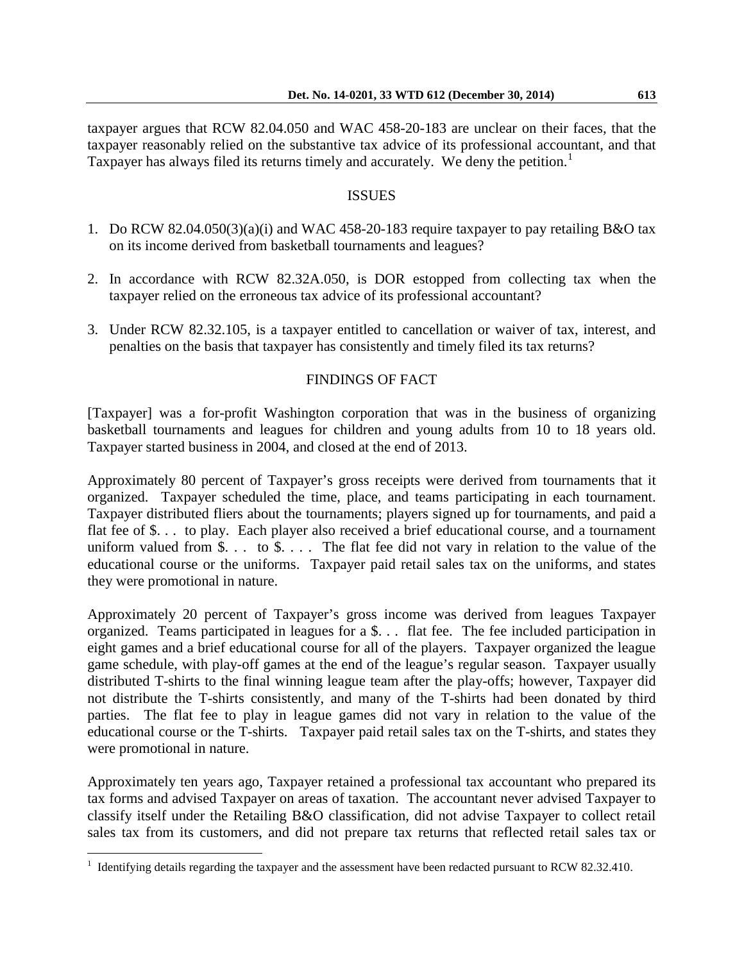taxpayer argues that RCW 82.04.050 and WAC 458-20-183 are unclear on their faces, that the taxpayer reasonably relied on the substantive tax advice of its professional accountant, and that Taxpayer has always filed its returns timely and accurately. We deny the petition.<sup>[1](#page-1-0)</sup>

### ISSUES

- 1. Do RCW 82.04.050(3)(a)(i) and WAC 458-20-183 require taxpayer to pay retailing B&O tax on its income derived from basketball tournaments and leagues?
- 2. In accordance with RCW 82.32A.050, is DOR estopped from collecting tax when the taxpayer relied on the erroneous tax advice of its professional accountant?
- 3. Under RCW 82.32.105, is a taxpayer entitled to cancellation or waiver of tax, interest, and penalties on the basis that taxpayer has consistently and timely filed its tax returns?

# FINDINGS OF FACT

[Taxpayer] was a for-profit Washington corporation that was in the business of organizing basketball tournaments and leagues for children and young adults from 10 to 18 years old. Taxpayer started business in 2004, and closed at the end of 2013.

Approximately 80 percent of Taxpayer's gross receipts were derived from tournaments that it organized. Taxpayer scheduled the time, place, and teams participating in each tournament. Taxpayer distributed fliers about the tournaments; players signed up for tournaments, and paid a flat fee of \$. . . to play. Each player also received a brief educational course, and a tournament uniform valued from  $\$ . . . to  $\$ . . . The flat fee did not vary in relation to the value of the educational course or the uniforms. Taxpayer paid retail sales tax on the uniforms, and states they were promotional in nature.

Approximately 20 percent of Taxpayer's gross income was derived from leagues Taxpayer organized. Teams participated in leagues for a \$. . . flat fee. The fee included participation in eight games and a brief educational course for all of the players. Taxpayer organized the league game schedule, with play-off games at the end of the league's regular season. Taxpayer usually distributed T-shirts to the final winning league team after the play-offs; however, Taxpayer did not distribute the T-shirts consistently, and many of the T-shirts had been donated by third parties. The flat fee to play in league games did not vary in relation to the value of the educational course or the T-shirts. Taxpayer paid retail sales tax on the T-shirts, and states they were promotional in nature.

Approximately ten years ago, Taxpayer retained a professional tax accountant who prepared its tax forms and advised Taxpayer on areas of taxation. The accountant never advised Taxpayer to classify itself under the Retailing B&O classification, did not advise Taxpayer to collect retail sales tax from its customers, and did not prepare tax returns that reflected retail sales tax or

 $\overline{a}$ 

<span id="page-1-0"></span><sup>&</sup>lt;sup>1</sup> Identifying details regarding the taxpayer and the assessment have been redacted pursuant to RCW 82.32.410.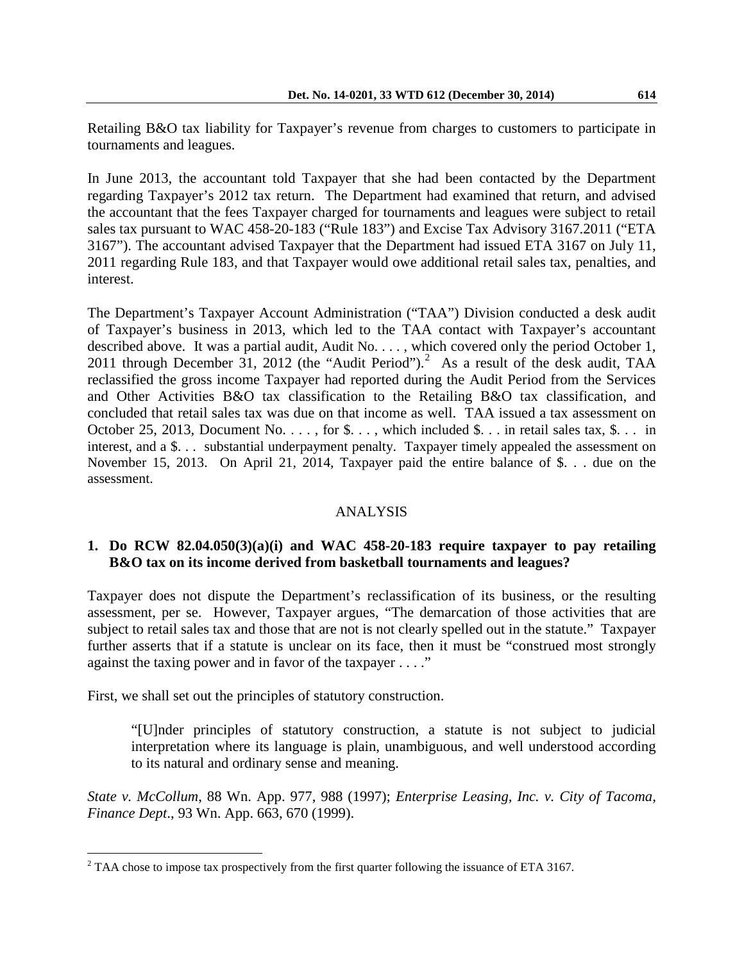In June 2013, the accountant told Taxpayer that she had been contacted by the Department regarding Taxpayer's 2012 tax return. The Department had examined that return, and advised the accountant that the fees Taxpayer charged for tournaments and leagues were subject to retail sales tax pursuant to WAC 458-20-183 ("Rule 183") and Excise Tax Advisory 3167.2011 ("ETA 3167"). The accountant advised Taxpayer that the Department had issued ETA 3167 on July 11, 2011 regarding Rule 183, and that Taxpayer would owe additional retail sales tax, penalties, and interest.

The Department's Taxpayer Account Administration ("TAA") Division conducted a desk audit of Taxpayer's business in 2013, which led to the TAA contact with Taxpayer's accountant described above. It was a partial audit, Audit No. . . . , which covered only the period October 1, 2011 through December 31, 2012 (the "Audit Period"). [2](#page-2-0) As a result of the desk audit, TAA reclassified the gross income Taxpayer had reported during the Audit Period from the Services and Other Activities B&O tax classification to the Retailing B&O tax classification, and concluded that retail sales tax was due on that income as well. TAA issued a tax assessment on October 25, 2013, Document No.  $\dots$ , for \$.  $\dots$ , which included \$.  $\dots$  in retail sales tax, \$.  $\dots$  in interest, and a \$. . . substantial underpayment penalty. Taxpayer timely appealed the assessment on November 15, 2013. On April 21, 2014, Taxpayer paid the entire balance of \$. . . due on the assessment.

### ANALYSIS

# **1. Do RCW 82.04.050(3)(a)(i) and WAC 458-20-183 require taxpayer to pay retailing B&O tax on its income derived from basketball tournaments and leagues?**

Taxpayer does not dispute the Department's reclassification of its business, or the resulting assessment, per se. However, Taxpayer argues, "The demarcation of those activities that are subject to retail sales tax and those that are not is not clearly spelled out in the statute." Taxpayer further asserts that if a statute is unclear on its face, then it must be "construed most strongly against the taxing power and in favor of the taxpayer . . . ."

First, we shall set out the principles of statutory construction.

 $\overline{a}$ 

"[U]nder principles of statutory construction, a statute is not subject to judicial interpretation where its language is plain, unambiguous, and well understood according to its natural and ordinary sense and meaning.

*State v. McCollum*, 88 Wn. App. 977, 988 (1997); *Enterprise Leasing, Inc. v. City of Tacoma, Finance Dept*., 93 Wn. App. 663, 670 (1999).

<span id="page-2-0"></span> $2$  TAA chose to impose tax prospectively from the first quarter following the issuance of ETA 3167.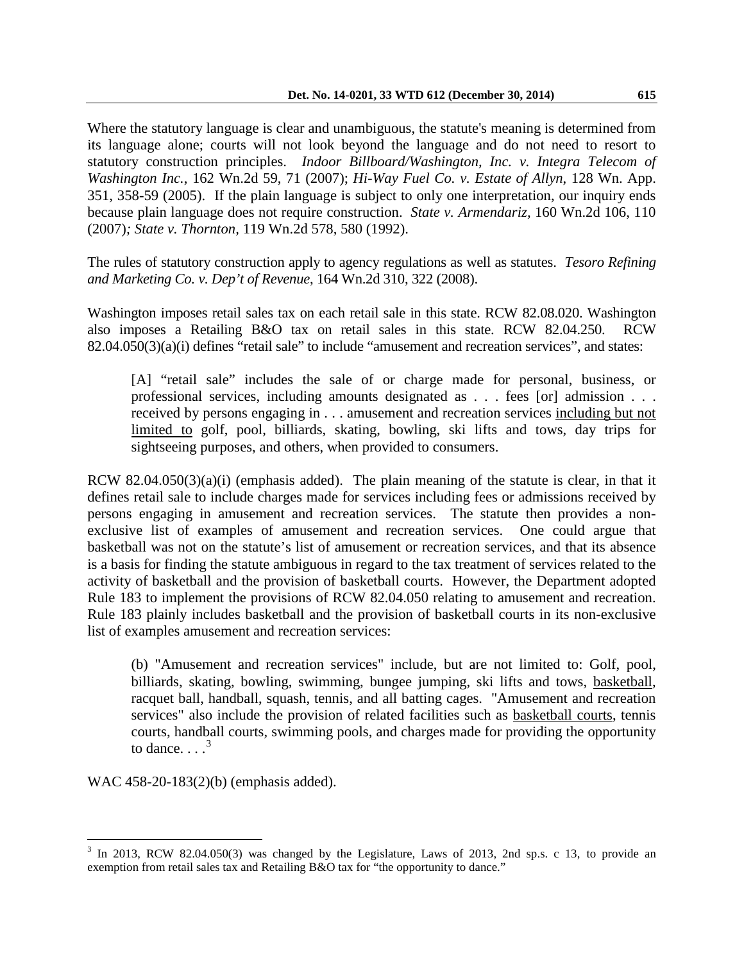Where the statutory language is clear and unambiguous, the statute's meaning is determined from its language alone; courts will not look beyond the language and do not need to resort to statutory construction principles. *Indoor Billboard/Washington, Inc. v. Integra Telecom of Washington Inc.*, 162 Wn.2d 59, 71 (2007); *Hi-Way Fuel Co. v. Estate of Allyn*, 128 Wn. App. 351, 358-59 (2005). If the plain language is subject to only one interpretation, our inquiry ends because plain language does not require construction. *State v. Armendariz,* 160 Wn.2d 106, 110 (2007)*; State v. Thornton,* 119 Wn.2d 578, 580 (1992).

The rules of statutory construction apply to agency regulations as well as statutes. *Tesoro Refining and Marketing Co. v. Dep't of Revenue*, 164 Wn.2d 310, 322 (2008).

Washington imposes retail sales tax on each retail sale in this state. RCW 82.08.020. Washington also imposes a Retailing B&O tax on retail sales in this state. RCW 82.04.250. RCW 82.04.050(3)(a)(i) defines "retail sale" to include "amusement and recreation services", and states:

[A] "retail sale" includes the sale of or charge made for personal, business, or professional services, including amounts designated as . . . fees [or] admission . . . received by persons engaging in . . . amusement and recreation services including but not limited to golf, pool, billiards, skating, bowling, ski lifts and tows, day trips for sightseeing purposes, and others, when provided to consumers.

RCW 82.04.050(3)(a)(i) (emphasis added). The plain meaning of the statute is clear, in that it defines retail sale to include charges made for services including fees or admissions received by persons engaging in amusement and recreation services. The statute then provides a nonexclusive list of examples of amusement and recreation services. One could argue that basketball was not on the statute's list of amusement or recreation services, and that its absence is a basis for finding the statute ambiguous in regard to the tax treatment of services related to the activity of basketball and the provision of basketball courts. However, the Department adopted Rule 183 to implement the provisions of RCW 82.04.050 relating to amusement and recreation. Rule 183 plainly includes basketball and the provision of basketball courts in its non-exclusive list of examples amusement and recreation services:

(b) "Amusement and recreation services" include, but are not limited to: Golf, pool, billiards, skating, bowling, swimming, bungee jumping, ski lifts and tows, basketball, racquet ball, handball, squash, tennis, and all batting cages. "Amusement and recreation services" also include the provision of related facilities such as basketball courts, tennis courts, handball courts, swimming pools, and charges made for providing the opportunity to dance.  $\frac{3}{3}$  $\frac{3}{3}$  $\frac{3}{3}$ 

WAC 458-20-183(2)(b) (emphasis added).

<span id="page-3-0"></span> $3$  In 2013, RCW 82.04.050(3) was changed by the Legislature, Laws of 2013, 2nd sp.s. c 13, to provide an exemption from retail sales tax and Retailing B&O tax for "the opportunity to dance."  $\overline{a}$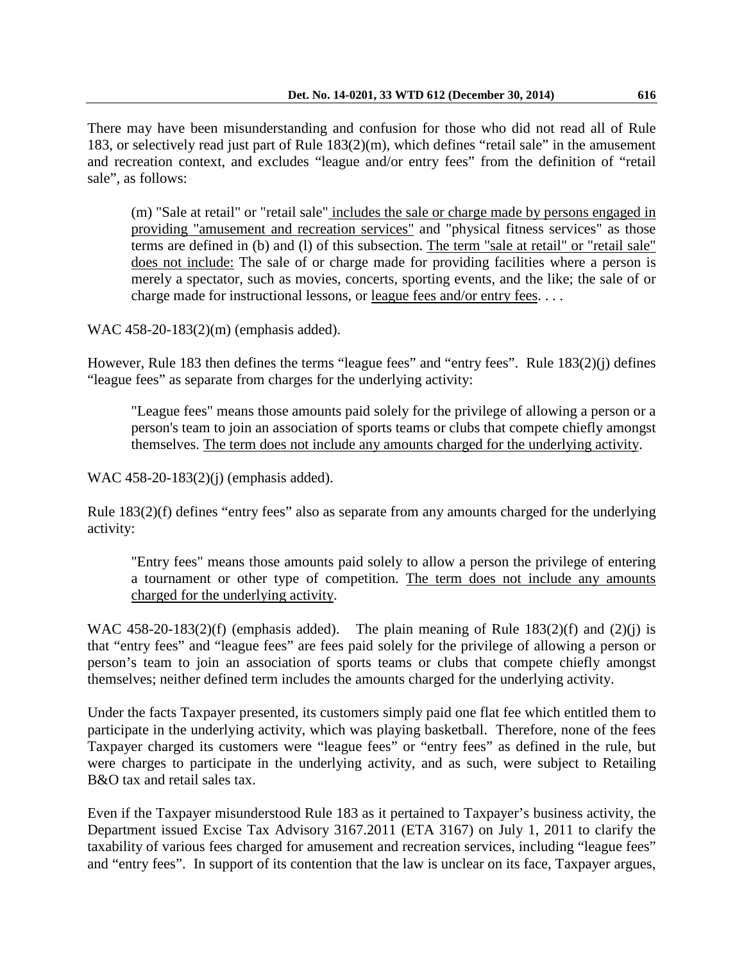There may have been misunderstanding and confusion for those who did not read all of Rule 183, or selectively read just part of Rule 183(2)(m), which defines "retail sale" in the amusement and recreation context, and excludes "league and/or entry fees" from the definition of "retail sale", as follows:

(m) "Sale at retail" or "retail sale" includes the sale or charge made by persons engaged in providing "amusement and recreation services" and "physical fitness services" as those terms are defined in (b) and (l) of this subsection. The term "sale at retail" or "retail sale" does not include: The sale of or charge made for providing facilities where a person is merely a spectator, such as movies, concerts, sporting events, and the like; the sale of or charge made for instructional lessons, or league fees and/or entry fees. . . .

WAC 458-20-183(2)(m) (emphasis added).

However, Rule 183 then defines the terms "league fees" and "entry fees". Rule 183(2)(j) defines "league fees" as separate from charges for the underlying activity:

"League fees" means those amounts paid solely for the privilege of allowing a person or a person's team to join an association of sports teams or clubs that compete chiefly amongst themselves. The term does not include any amounts charged for the underlying activity.

WAC 458-20-183(2)(j) (emphasis added).

Rule 183(2)(f) defines "entry fees" also as separate from any amounts charged for the underlying activity:

"Entry fees" means those amounts paid solely to allow a person the privilege of entering a tournament or other type of competition. The term does not include any amounts charged for the underlying activity.

WAC 458-20-183(2)(f) (emphasis added). The plain meaning of Rule  $183(2)(f)$  and (2)(j) is that "entry fees" and "league fees" are fees paid solely for the privilege of allowing a person or person's team to join an association of sports teams or clubs that compete chiefly amongst themselves; neither defined term includes the amounts charged for the underlying activity.

Under the facts Taxpayer presented, its customers simply paid one flat fee which entitled them to participate in the underlying activity, which was playing basketball. Therefore, none of the fees Taxpayer charged its customers were "league fees" or "entry fees" as defined in the rule, but were charges to participate in the underlying activity, and as such, were subject to Retailing B&O tax and retail sales tax.

Even if the Taxpayer misunderstood Rule 183 as it pertained to Taxpayer's business activity, the Department issued Excise Tax Advisory 3167.2011 (ETA 3167) on July 1, 2011 to clarify the taxability of various fees charged for amusement and recreation services, including "league fees" and "entry fees". In support of its contention that the law is unclear on its face, Taxpayer argues,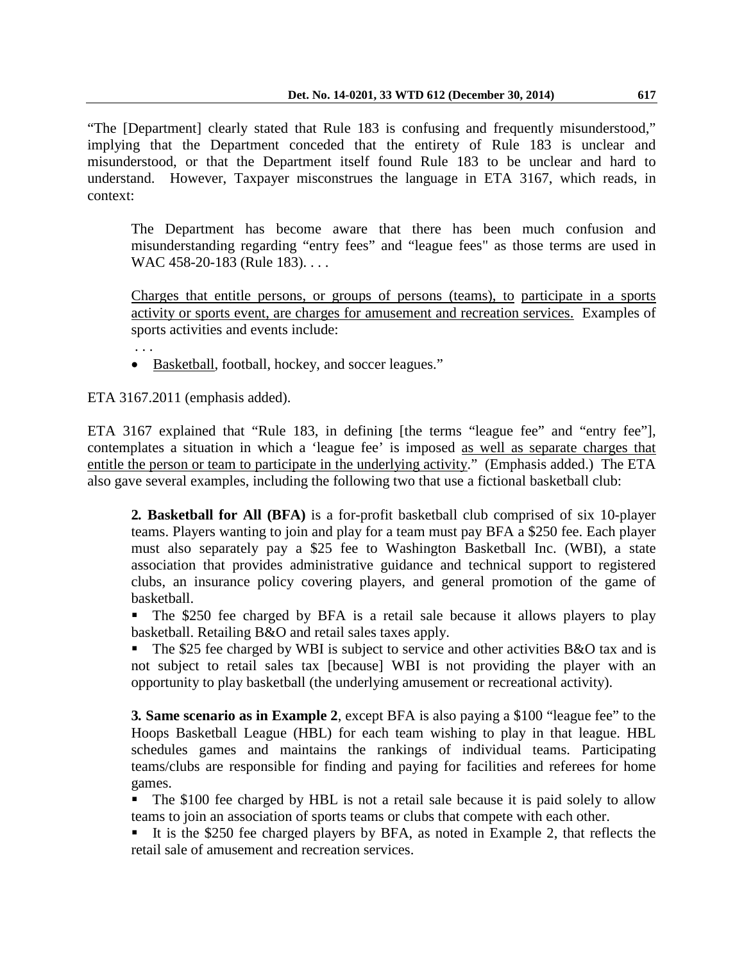"The [Department] clearly stated that Rule 183 is confusing and frequently misunderstood," implying that the Department conceded that the entirety of Rule 183 is unclear and misunderstood, or that the Department itself found Rule 183 to be unclear and hard to understand. However, Taxpayer misconstrues the language in ETA 3167, which reads, in context:

The Department has become aware that there has been much confusion and misunderstanding regarding "entry fees" and "league fees" as those terms are used in WAC 458-20-183 (Rule 183). . . .

Charges that entitle persons, or groups of persons (teams), to participate in a sports activity or sports event, are charges for amusement and recreation services. Examples of sports activities and events include:

• Basketball, football, hockey, and soccer leagues."

ETA 3167.2011 (emphasis added).

. . .

ETA 3167 explained that "Rule 183, in defining [the terms "league fee" and "entry fee"], contemplates a situation in which a 'league fee' is imposed as well as separate charges that entitle the person or team to participate in the underlying activity." (Emphasis added.) The ETA also gave several examples, including the following two that use a fictional basketball club:

**2***.* **Basketball for All (BFA)** is a for-profit basketball club comprised of six 10-player teams. Players wanting to join and play for a team must pay BFA a \$250 fee. Each player must also separately pay a \$25 fee to Washington Basketball Inc. (WBI), a state association that provides administrative guidance and technical support to registered clubs, an insurance policy covering players, and general promotion of the game of basketball.

 The \$250 fee charged by BFA is a retail sale because it allows players to play basketball. Retailing B&O and retail sales taxes apply.

The \$25 fee charged by WBI is subject to service and other activities B&O tax and is not subject to retail sales tax [because] WBI is not providing the player with an opportunity to play basketball (the underlying amusement or recreational activity).

**3***.* **Same scenario as in Example 2**, except BFA is also paying a \$100 "league fee" to the Hoops Basketball League (HBL) for each team wishing to play in that league. HBL schedules games and maintains the rankings of individual teams. Participating teams/clubs are responsible for finding and paying for facilities and referees for home games.

 The \$100 fee charged by HBL is not a retail sale because it is paid solely to allow teams to join an association of sports teams or clubs that compete with each other.

It is the \$250 fee charged players by BFA, as noted in Example 2, that reflects the retail sale of amusement and recreation services.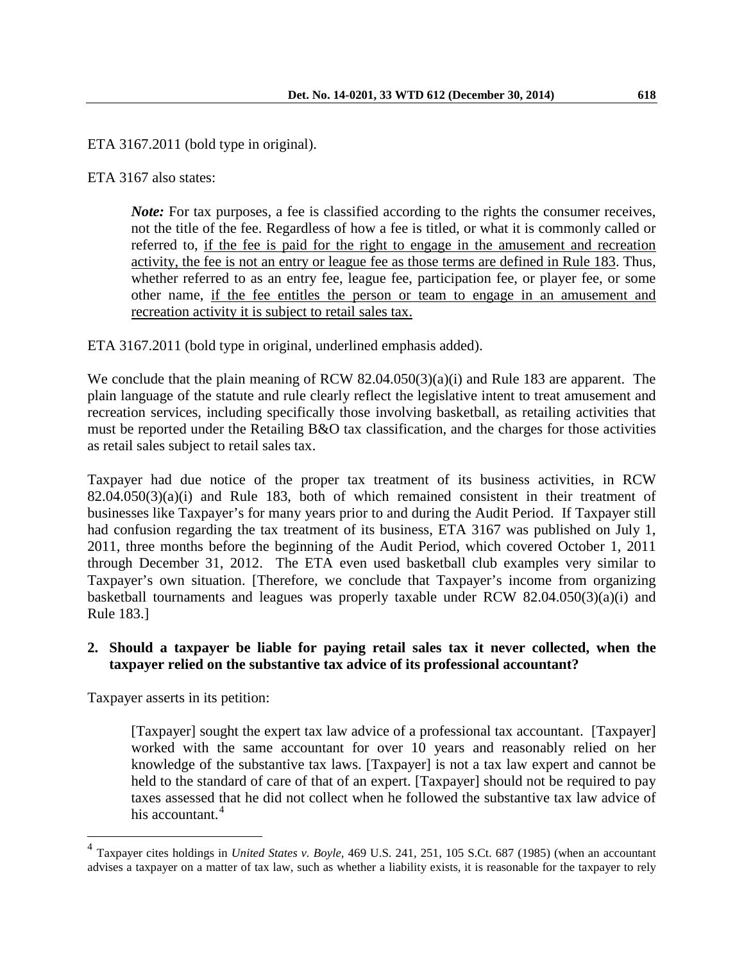ETA 3167.2011 (bold type in original).

ETA 3167 also states:

*Note:* For tax purposes, a fee is classified according to the rights the consumer receives, not the title of the fee. Regardless of how a fee is titled, or what it is commonly called or referred to, if the fee is paid for the right to engage in the amusement and recreation activity, the fee is not an entry or league fee as those terms are defined in Rule 183. Thus, whether referred to as an entry fee, league fee, participation fee, or player fee, or some other name, if the fee entitles the person or team to engage in an amusement and recreation activity it is subject to retail sales tax.

ETA 3167.2011 (bold type in original, underlined emphasis added).

We conclude that the plain meaning of RCW 82.04.050(3)(a)(i) and Rule 183 are apparent. The plain language of the statute and rule clearly reflect the legislative intent to treat amusement and recreation services, including specifically those involving basketball, as retailing activities that must be reported under the Retailing B&O tax classification, and the charges for those activities as retail sales subject to retail sales tax.

Taxpayer had due notice of the proper tax treatment of its business activities, in RCW  $82.04.050(3)(a)(i)$  and Rule 183, both of which remained consistent in their treatment of businesses like Taxpayer's for many years prior to and during the Audit Period. If Taxpayer still had confusion regarding the tax treatment of its business, ETA 3167 was published on July 1, 2011, three months before the beginning of the Audit Period, which covered October 1, 2011 through December 31, 2012. The ETA even used basketball club examples very similar to Taxpayer's own situation. [Therefore, we conclude that Taxpayer's income from organizing basketball tournaments and leagues was properly taxable under RCW 82.04.050(3)(a)(i) and Rule 183.]

# **2. Should a taxpayer be liable for paying retail sales tax it never collected, when the taxpayer relied on the substantive tax advice of its professional accountant?**

Taxpayer asserts in its petition:

 $\overline{a}$ 

[Taxpayer] sought the expert tax law advice of a professional tax accountant. [Taxpayer] worked with the same accountant for over 10 years and reasonably relied on her knowledge of the substantive tax laws. [Taxpayer] is not a tax law expert and cannot be held to the standard of care of that of an expert. [Taxpayer] should not be required to pay taxes assessed that he did not collect when he followed the substantive tax law advice of his accountant.<sup>[4](#page-6-0)</sup>

<span id="page-6-0"></span><sup>4</sup> Taxpayer cites holdings in *United States v. Boyle,* 469 U.S. 241, 251, 105 S.Ct. 687 (1985) (when an accountant advises a taxpayer on a matter of tax law, such as whether a liability exists, it is reasonable for the taxpayer to rely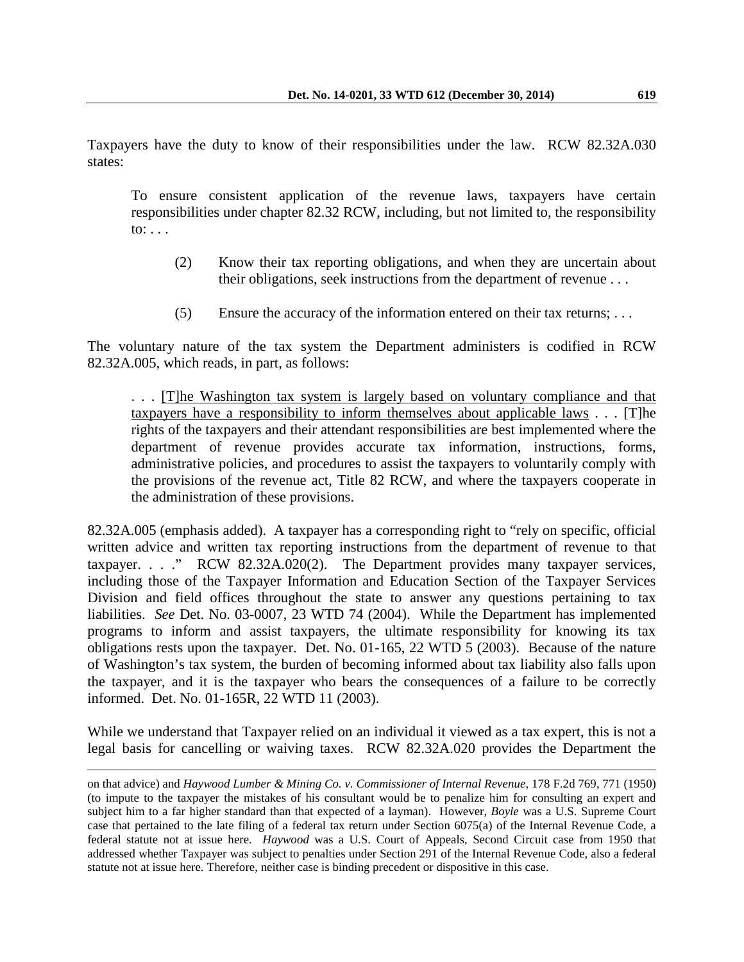Taxpayers have the duty to know of their responsibilities under the law. RCW 82.32A.030 states:

To ensure consistent application of the revenue laws, taxpayers have certain responsibilities under chapter 82.32 RCW, including, but not limited to, the responsibility to:  $\ldots$ 

- (2) Know their tax reporting obligations, and when they are uncertain about their obligations, seek instructions from the department of revenue . . .
- (5) Ensure the accuracy of the information entered on their tax returns; . . .

The voluntary nature of the tax system the Department administers is codified in RCW 82.32A.005, which reads, in part, as follows:

. . . [T]he Washington tax system is largely based on voluntary compliance and that taxpayers have a responsibility to inform themselves about applicable laws . . . [T]he rights of the taxpayers and their attendant responsibilities are best implemented where the department of revenue provides accurate tax information, instructions, forms, administrative policies, and procedures to assist the taxpayers to voluntarily comply with the provisions of the revenue act, Title 82 RCW, and where the taxpayers cooperate in the administration of these provisions.

82.32A.005 (emphasis added). A taxpayer has a corresponding right to "rely on specific, official written advice and written tax reporting instructions from the department of revenue to that taxpayer. . . ." RCW 82.32A.020(2). The Department provides many taxpayer services, including those of the Taxpayer Information and Education Section of the Taxpayer Services Division and field offices throughout the state to answer any questions pertaining to tax liabilities. *See* Det. No. 03-0007, 23 WTD 74 (2004). While the Department has implemented programs to inform and assist taxpayers, the ultimate responsibility for knowing its tax obligations rests upon the taxpayer. Det. No. 01-165, 22 WTD 5 (2003). Because of the nature of Washington's tax system, the burden of becoming informed about tax liability also falls upon the taxpayer, and it is the taxpayer who bears the consequences of a failure to be correctly informed. Det. No. 01-165R, 22 WTD 11 (2003).

While we understand that Taxpayer relied on an individual it viewed as a tax expert, this is not a legal basis for cancelling or waiving taxes. RCW 82.32A.020 provides the Department the

on that advice) and *Haywood Lumber & Mining Co. v. Commissioner of Internal Revenue,* 178 F.2d 769, 771 (1950) (to impute to the taxpayer the mistakes of his consultant would be to penalize him for consulting an expert and subject him to a far higher standard than that expected of a layman). However, *Boyle* was a U.S. Supreme Court case that pertained to the late filing of a federal tax return under Section 6075(a) of the Internal Revenue Code, a federal statute not at issue here. *Haywood* was a U.S. Court of Appeals, Second Circuit case from 1950 that addressed whether Taxpayer was subject to penalties under Section 291 of the Internal Revenue Code, also a federal statute not at issue here. Therefore, neither case is binding precedent or dispositive in this case.  $\overline{a}$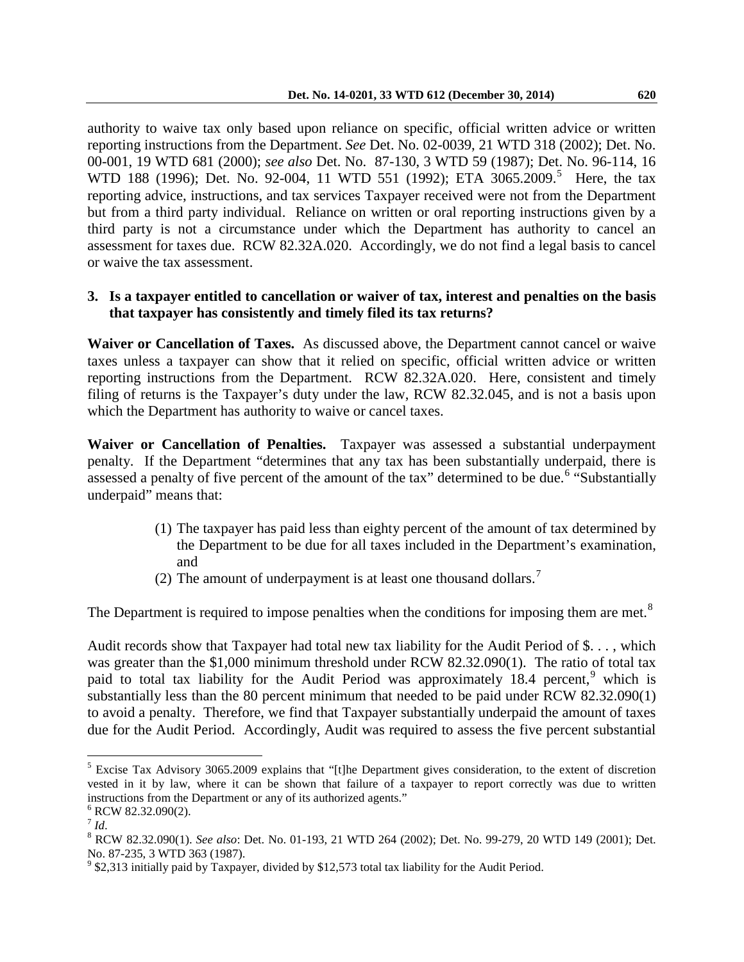authority to waive tax only based upon reliance on specific, official written advice or written reporting instructions from the Department. *See* Det. No. 02-0039, 21 WTD 318 (2002); Det. No. 00-001, 19 WTD 681 (2000); *see also* Det. No. 87-130, 3 WTD 59 (1987); Det. No. 96-114, 16 WTD 188 (1996); Det. No. 92-004, 11 WTD [5](#page-8-0)51 (1992); ETA 3065.2009.<sup>5</sup> Here, the tax reporting advice, instructions, and tax services Taxpayer received were not from the Department but from a third party individual. Reliance on written or oral reporting instructions given by a third party is not a circumstance under which the Department has authority to cancel an assessment for taxes due. RCW 82.32A.020. Accordingly, we do not find a legal basis to cancel or waive the tax assessment.

### **3. Is a taxpayer entitled to cancellation or waiver of tax, interest and penalties on the basis that taxpayer has consistently and timely filed its tax returns?**

**Waiver or Cancellation of Taxes.** As discussed above, the Department cannot cancel or waive taxes unless a taxpayer can show that it relied on specific, official written advice or written reporting instructions from the Department. RCW 82.32A.020. Here, consistent and timely filing of returns is the Taxpayer's duty under the law, RCW 82.32.045, and is not a basis upon which the Department has authority to waive or cancel taxes.

**Waiver or Cancellation of Penalties.** Taxpayer was assessed a substantial underpayment penalty.If the Department "determines that any tax has been substantially underpaid, there is assessed a penalty of five percent of the amount of the tax" determined to be due.<sup>[6](#page-8-1)</sup> "Substantially underpaid" means that:

- (1) The taxpayer has paid less than eighty percent of the amount of tax determined by the Department to be due for all taxes included in the Department's examination, and
- (2) The amount of underpayment is at least one thousand dollars.<sup>[7](#page-8-2)</sup>

The Department is required to impose penalties when the conditions for imposing them are met.<sup>[8](#page-8-3)</sup>

Audit records show that Taxpayer had total new tax liability for the Audit Period of \$. . . , which was greater than the \$1,000 minimum threshold under RCW 82.32.090(1). The ratio of total tax paid to total tax liability for the Audit Period was approximately 18.4 percent, which is substantially less than the 80 percent minimum that needed to be paid under RCW 82.32.090(1) to avoid a penalty. Therefore, we find that Taxpayer substantially underpaid the amount of taxes due for the Audit Period. Accordingly, Audit was required to assess the five percent substantial

 $\overline{a}$ 

<span id="page-8-0"></span> $<sup>5</sup>$  Excise Tax Advisory 3065.2009 explains that "[t]he Department gives consideration, to the extent of discretion</sup> vested in it by law, where it can be shown that failure of a taxpayer to report correctly was due to written instructions from the Department or any of its authorized agents."<br>
<sup>6</sup> RCW 82.32.090(2).<br>
<sup>7</sup> Id.

<span id="page-8-1"></span>

<span id="page-8-2"></span>

<span id="page-8-3"></span><sup>&</sup>lt;sup>8</sup> RCW 82.32.090(1). *See also*: Det. No. 01-193, 21 WTD 264 (2002); Det. No. 99-279, 20 WTD 149 (2001); Det. No. 87-235, 3 WTD 363 (1987).<br><sup>9</sup> \$2,313 initially paid by Taxpayer, divided by \$12,573 total tax liability for the Audit Period.

<span id="page-8-4"></span>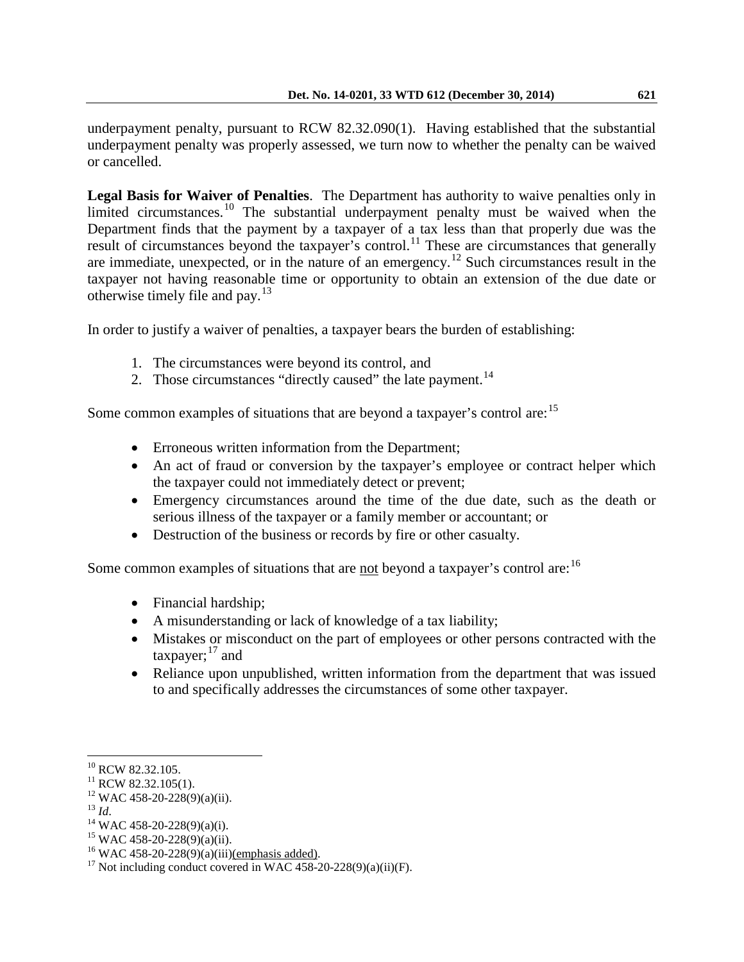underpayment penalty, pursuant to RCW 82.32.090(1). Having established that the substantial underpayment penalty was properly assessed, we turn now to whether the penalty can be waived or cancelled.

**Legal Basis for Waiver of Penalties**. The Department has authority to waive penalties only in limited circumstances.<sup>[10](#page-9-0)</sup> The substantial underpayment penalty must be waived when the Department finds that the payment by a taxpayer of a tax less than that properly due was the result of circumstances beyond the taxpayer's control.<sup>[11](#page-9-1)</sup> These are circumstances that generally are immediate, unexpected, or in the nature of an emergency.<sup>[12](#page-9-2)</sup> Such circumstances result in the taxpayer not having reasonable time or opportunity to obtain an extension of the due date or otherwise timely file and pay. $13$ 

In order to justify a waiver of penalties, a taxpayer bears the burden of establishing:

- 1. The circumstances were beyond its control, and
- 2. Those circumstances "directly caused" the late payment. $^{14}$  $^{14}$  $^{14}$

Some common examples of situations that are beyond a taxpayer's control are: <sup>[15](#page-9-5)</sup>

- Erroneous written information from the Department;
- An act of fraud or conversion by the taxpayer's employee or contract helper which the taxpayer could not immediately detect or prevent;
- Emergency circumstances around the time of the due date, such as the death or serious illness of the taxpayer or a family member or accountant; or
- Destruction of the business or records by fire or other casualty.

Some common examples of situations that are not beyond a taxpayer's control are:<sup>[16](#page-9-6)</sup>

- Financial hardship;
- A misunderstanding or lack of knowledge of a tax liability;
- Mistakes or misconduct on the part of employees or other persons contracted with the taxpayer;<sup>[17](#page-9-7)</sup> and
- Reliance upon unpublished, written information from the department that was issued to and specifically addresses the circumstances of some other taxpayer.

<span id="page-9-3"></span>

<span id="page-9-0"></span> $10$  RCW 82.32.105.

<span id="page-9-5"></span><span id="page-9-4"></span>

<span id="page-9-7"></span><span id="page-9-6"></span>

<span id="page-9-2"></span><span id="page-9-1"></span><sup>&</sup>lt;sup>11</sup> RCW 82.32.105(1).<br><sup>12</sup> WAC 458-20-228(9)(a)(ii).<br><sup>13</sup> Id.<br><sup>14</sup> WAC 458-20-228(9)(a)(i).<br><sup>15</sup> WAC 458-20-228(9)(a)(ii).<br><sup>16</sup> WAC 458-20-228(9)(a)(iii)<u>(emphasis added)</u>.<br><sup>17</sup> Not including conduct covered in WAC 458-2